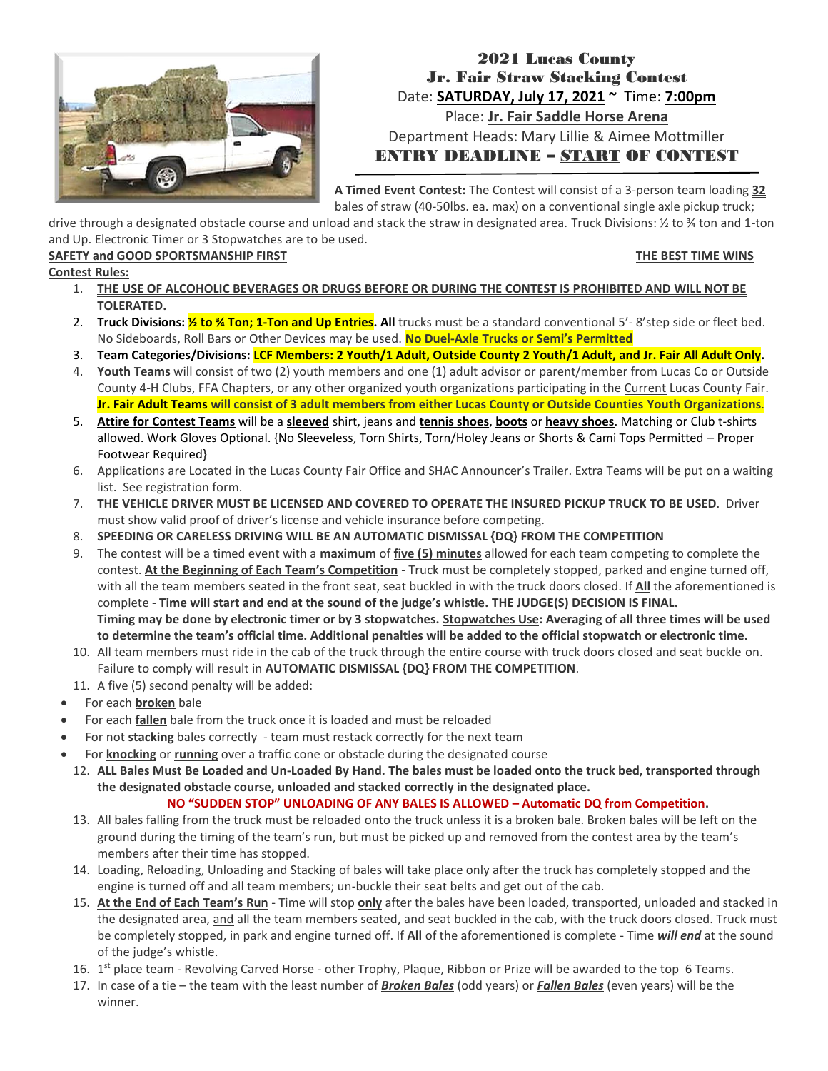

## 2021 Lucas County Jr. Fair Straw Stacking Contest Date: **SATURDAY, July 17, 2021 ~** Time: **7:00pm** Place: **Jr. Fair Saddle Horse Arena** Department Heads: Mary Lillie & Aimee Mottmiller ENTRY DEADLINE – START OF CONTEST

**A Timed Event Contest:** The Contest will consist of a 3-person team loading **32** bales of straw (40-50lbs. ea. max) on a conventional single axle pickup truck;

drive through a designated obstacle course and unload and stack the straw in designated area. Truck Divisions: ½ to ¾ ton and 1-ton and Up. Electronic Timer or 3 Stopwatches are to be used.

#### SAFETY and GOOD SPORTSMANSHIP FIRST **THE BEST TIME WINS**

- **Contest Rules:**
	- 1. **THE USE OF ALCOHOLIC BEVERAGES OR DRUGS BEFORE OR DURING THE CONTEST IS PROHIBITED AND WILL NOT BE TOLERATED.**
	- 2. **Truck Divisions: ½ to ¾ Ton; 1-Ton and Up Entries. All** trucks must be a standard conventional 5'- 8'step side or fleet bed. No Sideboards, Roll Bars or Other Devices may be used. **No Duel-Axle Trucks or Semi's Permitted**
	- 3. **Team Categories/Divisions: LCF Members: 2 Youth/1 Adult, Outside County 2 Youth/1 Adult, and Jr. Fair All Adult Only.**
	- 4. **Youth Teams** will consist of two (2) youth members and one (1) adult advisor or parent/member from Lucas Co or Outside County 4-H Clubs, FFA Chapters, or any other organized youth organizations participating in the Current Lucas County Fair. **Jr. Fair Adult Teams will consist of 3 adult members from either Lucas County or Outside Counties Youth Organizations**.
	- 5. **Attire for Contest Teams** will be a **sleeved** shirt, jeans and **tennis shoes**, **boots** or **heavy shoes**. Matching or Club t-shirts allowed. Work Gloves Optional. {No Sleeveless, Torn Shirts, Torn/Holey Jeans or Shorts & Cami Tops Permitted – Proper Footwear Required}
	- 6. Applications are Located in the Lucas County Fair Office and SHAC Announcer's Trailer. Extra Teams will be put on a waiting list. See registration form.
	- 7. **THE VEHICLE DRIVER MUST BE LICENSED AND COVERED TO OPERATE THE INSURED PICKUP TRUCK TO BE USED**. Driver must show valid proof of driver's license and vehicle insurance before competing.
	- 8. **SPEEDING OR CARELESS DRIVING WILL BE AN AUTOMATIC DISMISSAL {DQ} FROM THE COMPETITION**
	- 9. The contest will be a timed event with a **maximum** of **five (5) minutes** allowed for each team competing to complete the contest. **At the Beginning of Each Team's Competition** - Truck must be completely stopped, parked and engine turned off, with all the team members seated in the front seat, seat buckled in with the truck doors closed. If **All** the aforementioned is complete - **Time will start and end at the sound of the judge's whistle. THE JUDGE(S) DECISION IS FINAL. Timing may be done by electronic timer or by 3 stopwatches. Stopwatches Use: Averaging of all three times will be used to determine the team's official time. Additional penalties will be added to the official stopwatch or electronic time.**
	- 10. All team members must ride in the cab of the truck through the entire course with truck doors closed and seat buckle on. Failure to comply will result in **AUTOMATIC DISMISSAL {DQ} FROM THE COMPETITION**.
	- 11. A five (5) second penalty will be added:
	- For each **broken** bale
	- For each **fallen** bale from the truck once it is loaded and must be reloaded
	- For not **stacking** bales correctly team must restack correctly for the next team
	- For **knocking** or **running** over a traffic cone or obstacle during the designated course
	- 12. **ALL Bales Must Be Loaded and Un-Loaded By Hand. The bales must be loaded onto the truck bed, transported through the designated obstacle course, unloaded and stacked correctly in the designated place.**

### **NO "SUDDEN STOP" UNLOADING OF ANY BALES IS ALLOWED – Automatic DQ from Competition.**

- 13. All bales falling from the truck must be reloaded onto the truck unless it is a broken bale. Broken bales will be left on the ground during the timing of the team's run, but must be picked up and removed from the contest area by the team's members after their time has stopped.
- 14. Loading, Reloading, Unloading and Stacking of bales will take place only after the truck has completely stopped and the engine is turned off and all team members; un-buckle their seat belts and get out of the cab.
- 15. **At the End of Each Team's Run** Time will stop **only** after the bales have been loaded, transported, unloaded and stacked in the designated area, and all the team members seated, and seat buckled in the cab, with the truck doors closed. Truck must be completely stopped, in park and engine turned off. If **All** of the aforementioned is complete - Time *will end* at the sound of the judge's whistle.
- 16. 1<sup>st</sup> place team Revolving Carved Horse other Trophy, Plaque, Ribbon or Prize will be awarded to the top 6 Teams.
- 17. In case of a tie the team with the least number of *Broken Bales* (odd years) or *Fallen Bales* (even years) will be the winner.